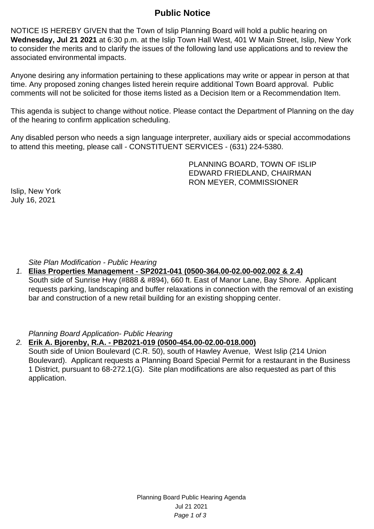# **Public Notice**

NOTICE IS HEREBY GIVEN that the Town of Islip Planning Board will hold a public hearing on **Wednesday, Jul 21 2021** at 6:30 p.m. at the Islip Town Hall West, 401 W Main Street, Islip, New York to consider the merits and to clarify the issues of the following land use applications and to review the associated environmental impacts.

Anyone desiring any information pertaining to these applications may write or appear in person at that time. Any proposed zoning changes listed herein require additional Town Board approval. Public comments will not be solicited for those items listed as a Decision Item or a Recommendation Item.

This agenda is subject to change without notice. Please contact the Department of Planning on the day of the hearing to confirm application scheduling.

Any disabled person who needs a sign language interpreter, auxiliary aids or special accommodations to attend this meeting, please call - CONSTITUENT SERVICES - (631) 224-5380.

> PLANNING BOARD, TOWN OF ISLIP EDWARD FRIEDLAND, CHAIRMAN RON MEYER, COMMISSIONER

Islip, New York July 16, 2021

Site Plan Modification - Public Hearing

1. **Elias Properties Management - SP2021-041 (0500-364.00-02.00-002.002 & 2.4)** South side of Sunrise Hwy (#888 & #894), 660 ft. East of Manor Lane, Bay Shore. Applicant requests parking, landscaping and buffer relaxations in connection with the removal of an existing bar and construction of a new retail building for an existing shopping center.

Planning Board Application- Public Hearing

#### 2. **Erik A. Bjorenby, R.A. - PB2021-019 (0500-454.00-02.00-018.000)**

South side of Union Boulevard (C.R. 50), south of Hawley Avenue, West Islip (214 Union Boulevard). Applicant requests a Planning Board Special Permit for a restaurant in the Business 1 District, pursuant to 68-272.1(G). Site plan modifications are also requested as part of this application.

> Planning Board Public Hearing Agenda Jul 21 2021 Page 1 of 3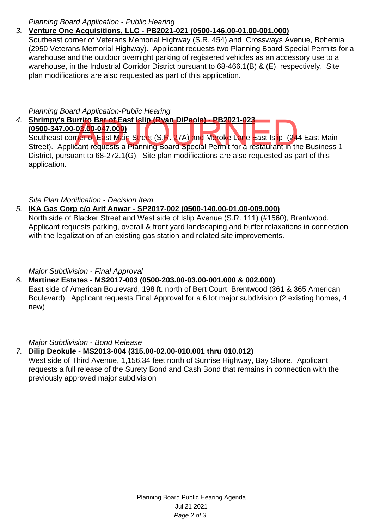#### Planning Board Application - Public Hearing

## 3. **Venture One Acquisitions, LLC - PB2021-021 (0500-146.00-01.00-001.000)**

Southeast corner of Veterans Memorial Highway (S.R. 454) and Crossways Avenue, Bohemia (2950 Veterans Memorial Highway). Applicant requests two Planning Board Special Permits for a warehouse and the outdoor overnight parking of registered vehicles as an accessory use to a warehouse, in the Industrial Corridor District pursuant to 68-466.1(B) & (E), respectively. Site plan modifications are also requested as part of this application.

#### Planning Board Application-Public Hearing

4. **Shrimpy's Burrito Bar of East Islip (Ryan DiPaola) - PB2021-023 (0500-347.00-03.00-047.000)** Southeast corner of East Main Street (S.R. 27A) and Meroke Lane East Islip (244 East Main Street). Applicant requests a Planning Board Special Permit for a restaurant in the Business 1 District, pursuant to 68-272.1(G). Site plan modifications are also requested as part of this application. **171to Bar of East Islip (Ryan DiPaola) - PB2021-023**<br>103.00-047.000)<br>per of East Main Street (S.R. 27A) and Meroke Lane East Islip (24<br>cant requests a Planning Board Special Permit for a restaurant in th

### Site Plan Modification - Decision Item

## 5. **IKA Gas Corp c/o Arif Anwar - SP2017-002 (0500-140.00-01.00-009.000)**

North side of Blacker Street and West side of Islip Avenue (S.R. 111) (#1560), Brentwood. Applicant requests parking, overall & front yard landscaping and buffer relaxations in connection with the legalization of an existing gas station and related site improvements.

### Major Subdivision - Final Approval

## 6. **Martinez Estates - MS2017-003 (0500-203.00-03.00-001.000 & 002.000)**

East side of American Boulevard, 198 ft. north of Bert Court, Brentwood (361 & 365 American Boulevard). Applicant requests Final Approval for a 6 lot major subdivision (2 existing homes, 4 new)

#### Major Subdivision - Bond Release

### 7. **Dilip Deokule - MS2013-004 (315.00-02.00-010.001 thru 010.012)**

West side of Third Avenue, 1,156.34 feet north of Sunrise Highway, Bay Shore. Applicant requests a full release of the Surety Bond and Cash Bond that remains in connection with the previously approved major subdivision